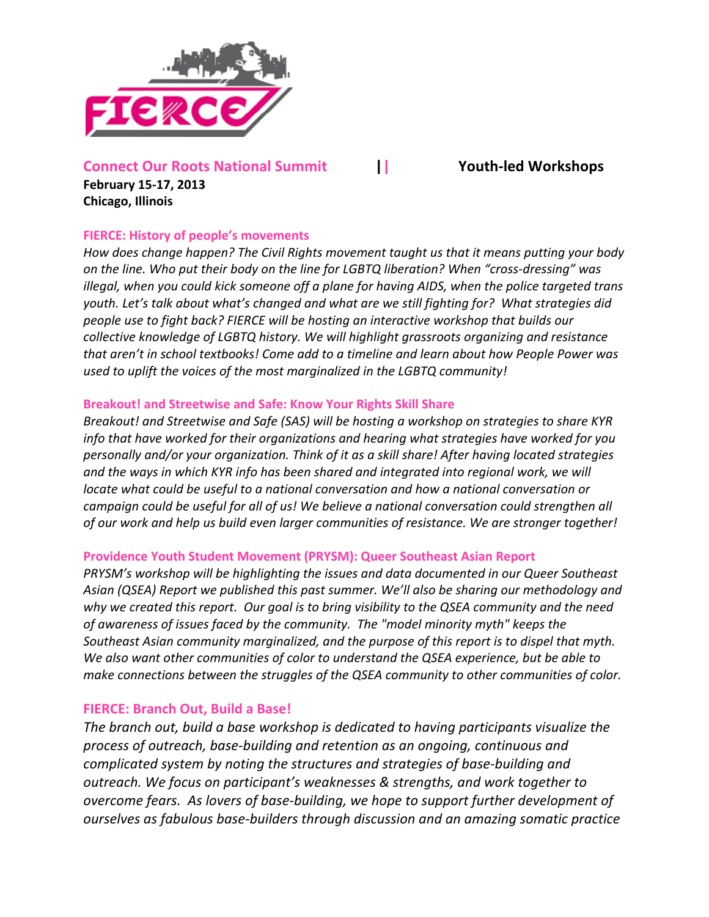

# **Connect
Our
Roots
National
Summit || Youth‐led
Workshops**

**February
15‐17,
2013 Chicago,
Illinois**

## **FIERCE:
History
of
people's
movements**

*How does change happen? The Civil Rights movement taught us that it means putting your body on the line. Who put their body on the line for LGBTQ liberation? When "cross‐dressing" was illegal, when you could kick someone off a plane for having AIDS, when the police targeted trans youth. Let's talk about what's changed and what are we still fighting for? What strategies did people use to fight back? FIERCE will be hosting an interactive workshop that builds our collective knowledge of LGBTQ history. We will highlight grassroots organizing and resistance that aren't in school textbooks! Come add to a timeline and learn about how People Power was used to uplift the voices of the most marginalized in the LGBTQ community!* 

### **Breakout!
and
Streetwise
and
Safe:
Know
Your
Rights
Skill
Share**

*Breakout! and Streetwise and Safe (SAS) will be hosting a workshop on strategies to share KYR info that have worked for their organizations and hearing what strategies have worked for you personally and/or your organization. Think of it as a skill share! After having located strategies and the ways in which KYR info has been shared and integrated into regional work, we will locate what could be useful to a national conversation and how a national conversation or campaign could be useful for all of us! We believe a national conversation could strengthen all of our work and help us build even larger communities of resistance. We are stronger together!*

### **Providence
Youth
Student
Movement
(PRYSM):
Queer
Southeast
Asian
Report**

*PRYSM's workshop will be highlighting the issues and data documented in our Queer Southeast Asian (QSEA) Report we published this past summer. We'll also be sharing our methodology and why we created this report. Our goal is to bring visibility to the QSEA community and the need of awareness of issues faced by the community. The "model minority myth" keeps the Southeast Asian community marginalized, and the purpose of this report is to dispel that myth. We also want other communities of color to understand the QSEA experience, but be able to make connections between the struggles of the QSEA community to other communities of color.*

### **FIERCE:
Branch
Out,
Build
a
Base!**

*The branch out, build a base workshop is dedicated to having participants visualize the process of outreach, base‐building and retention as an ongoing, continuous and complicated system by noting the structures and strategies of base‐building and outreach. We focus on participant's weaknesses & strengths, and work together to overcome fears. As lovers of base‐building, we hope to support further development of ourselves as fabulous base‐builders through discussion and an amazing somatic practice*